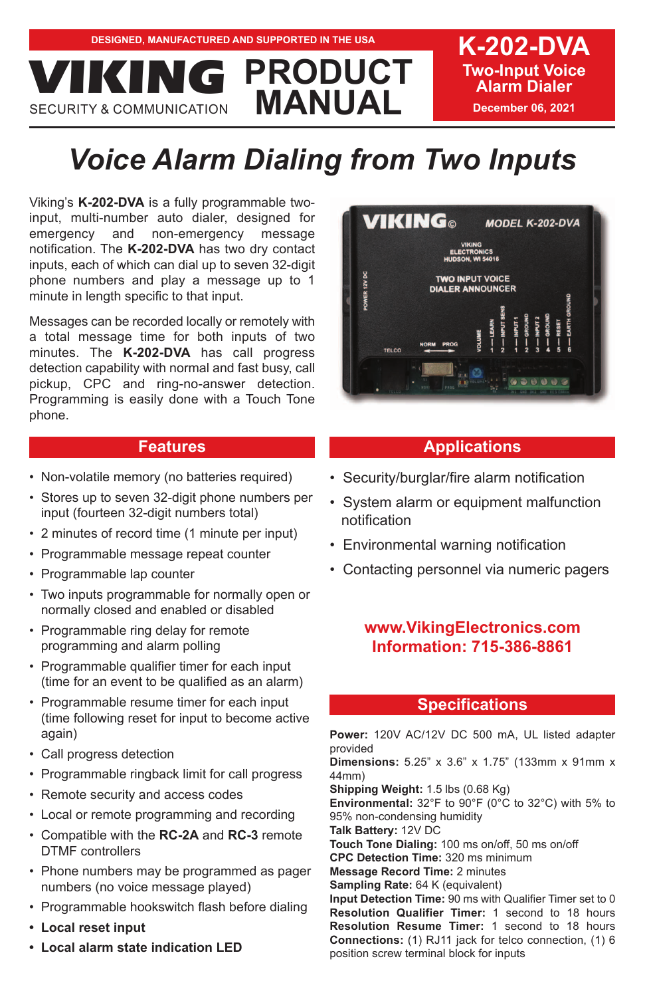**Two-Input Voice Alarm Dialer December 06, 2021**

# *Voice Alarm Dialing from Two Inputs*

**PRODUCT**

Viking's **K-202-DVA** is a fully programmable twoinput, multi-number auto dialer, designed for emergency and non-emergency message notification. The **K-202-DVA** has two dry contact inputs, each of which can dial up to seven 32-digit phone numbers and play a message up to 1 minute in length specific to that input.

**MANUAL VICION** 

Messages can be recorded locally or remotely with a total message time for both inputs of two minutes. The **K-202-DVA** has call progress detection capability with normal and fast busy, call pickup, CPC and ring-no-answer detection. Programming is easily done with a Touch Tone phone.

## **Features**

- Non-volatile memory (no batteries required)
- Stores up to seven 32-digit phone numbers per input (fourteen 32-digit numbers total)
- 2 minutes of record time (1 minute per input)
- Programmable message repeat counter
- Programmable lap counter
- Two inputs programmable for normally open or normally closed and enabled or disabled
- Programmable ring delay for remote programming and alarm polling
- Programmable qualifier timer for each input (time for an event to be qualified as an alarm)
- Programmable resume timer for each input (time following reset for input to become active again)
- Call progress detection
- Programmable ringback limit for call progress
- Remote security and access codes
- Local or remote programming and recording
- Compatible with the **RC-2A** and **RC-3** remote DTMF controllers
- Phone numbers may be programmed as pager numbers (no voice message played)
- Programmable hookswitch flash before dialing
- **Local reset input**
- **Local alarm state indication LED**



# **Applications**

- Security/burglar/fire alarm notification
- System alarm or equipment malfunction notification
- Environmental warning notification
- Contacting personnel via numeric pagers

# **www.VikingElectronics.com Information: 715-386-8861**

# **Specifications**

**Power:** 120V AC/12V DC 500 mA, UL listed adapter provided **Dimensions:** 5.25" x 3.6" x 1.75" (133mm x 91mm x 44mm) **Shipping Weight:** 1.5 lbs (0.68 Kg) Environmental: 32°F to 90°F (0°C to 32°C) with 5% to 95% non-condensing humidity **Talk Battery:** 12V DC **Touch Tone Dialing:** 100 ms on/off, 50 ms on/off **CPC Detection Time:** 320 ms minimum **Message Record Time:** 2 minutes **Sampling Rate:** 64 K (equivalent) **Input Detection Time:** 90 ms with Qualifier Timer set to 0 **Resolution Qualifier Timer:** 1 second to 18 hours **Resolution Resume Timer:** 1 second to 18 hours **Connections:** (1) RJ11 jack for telco connection, (1) 6 position screw terminal block for inputs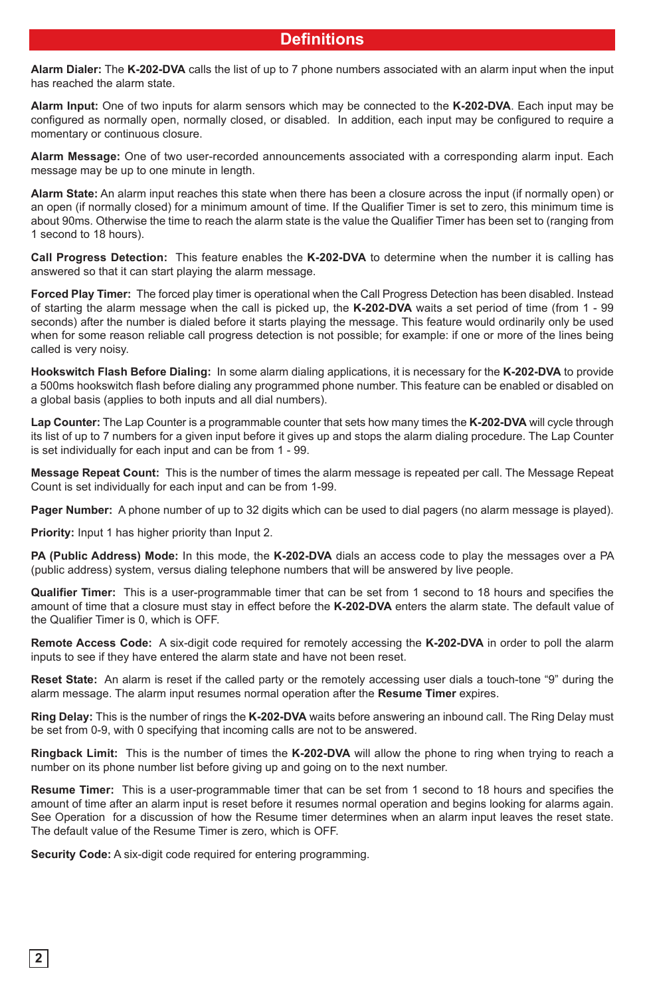# **Definitions**

**Alarm Dialer:** The **K-202-DVA** calls the list of up to 7 phone numbers associated with an alarm input when the input has reached the alarm state.

**Alarm Input:** One of two inputs for alarm sensors which may be connected to the **K-202-DVA**. Each input may be configured as normally open, normally closed, or disabled. In addition, each input may be configured to require a momentary or continuous closure.

**Alarm Message:** One of two user-recorded announcements associated with a corresponding alarm input. Each message may be up to one minute in length.

**Alarm State:** An alarm input reaches this state when there has been a closure across the input (if normally open) or an open (if normally closed) for a minimum amount of time. If the Qualifier Timer is set to zero, this minimum time is about 90ms. Otherwise the time to reach the alarm state is the value the Qualifier Timer has been set to (ranging from 1 second to 18 hours).

**Call Progress Detection:** This feature enables the **K-202-DVA** to determine when the number it is calling has answered so that it can start playing the alarm message.

**Forced Play Timer:** The forced play timer is operational when the Call Progress Detection has been disabled. Instead of starting the alarm message when the call is picked up, the **K-202-DVA** waits a set period of time (from 1 - 99 seconds) after the number is dialed before it starts playing the message. This feature would ordinarily only be used when for some reason reliable call progress detection is not possible; for example: if one or more of the lines being called is very noisy.

**Hookswitch Flash Before Dialing:** In some alarm dialing applications, it is necessary for the **K-202-DVA** to provide a 500ms hookswitch flash before dialing any programmed phone number. This feature can be enabled or disabled on a global basis (applies to both inputs and all dial numbers).

**Lap Counter:** The Lap Counter is a programmable counter that sets how many times the **K-202-DVA** will cycle through its list of up to 7 numbers for a given input before it gives up and stops the alarm dialing procedure. The Lap Counter is set individually for each input and can be from 1 - 99.

**Message Repeat Count:** This is the number of times the alarm message is repeated per call. The Message Repeat Count is set individually for each input and can be from 1-99.

**Pager Number:** A phone number of up to 32 digits which can be used to dial pagers (no alarm message is played).

**Priority:** Input 1 has higher priority than Input 2.

**PA (Public Address) Mode:** In this mode, the **K-202-DVA** dials an access code to play the messages over a PA (public address) system, versus dialing telephone numbers that will be answered by live people.

**Qualifier Timer:** This is a user-programmable timer that can be set from 1 second to 18 hours and specifies the amount of time that a closure must stay in effect before the **K-202-DVA** enters the alarm state. The default value of the Qualifier Timer is 0, which is OFF.

**Remote Access Code:** A six-digit code required for remotely accessing the **K-202-DVA** in order to poll the alarm inputs to see if they have entered the alarm state and have not been reset.

**Reset State:** An alarm is reset if the called party or the remotely accessing user dials a touch-tone "9" during the alarm message. The alarm input resumes normal operation after the **Resume Timer** expires.

**Ring Delay:** This is the number of rings the **K-202-DVA** waits before answering an inbound call. The Ring Delay must be set from 0-9, with 0 specifying that incoming calls are not to be answered.

**Ringback Limit:** This is the number of times the **K-202-DVA** will allow the phone to ring when trying to reach a number on its phone number list before giving up and going on to the next number.

**Resume Timer:** This is a user-programmable timer that can be set from 1 second to 18 hours and specifies the amount of time after an alarm input is reset before it resumes normal operation and begins looking for alarms again. See Operation for a discussion of how the Resume timer determines when an alarm input leaves the reset state. The default value of the Resume Timer is zero, which is OFF.

**Security Code:** A six-digit code required for entering programming.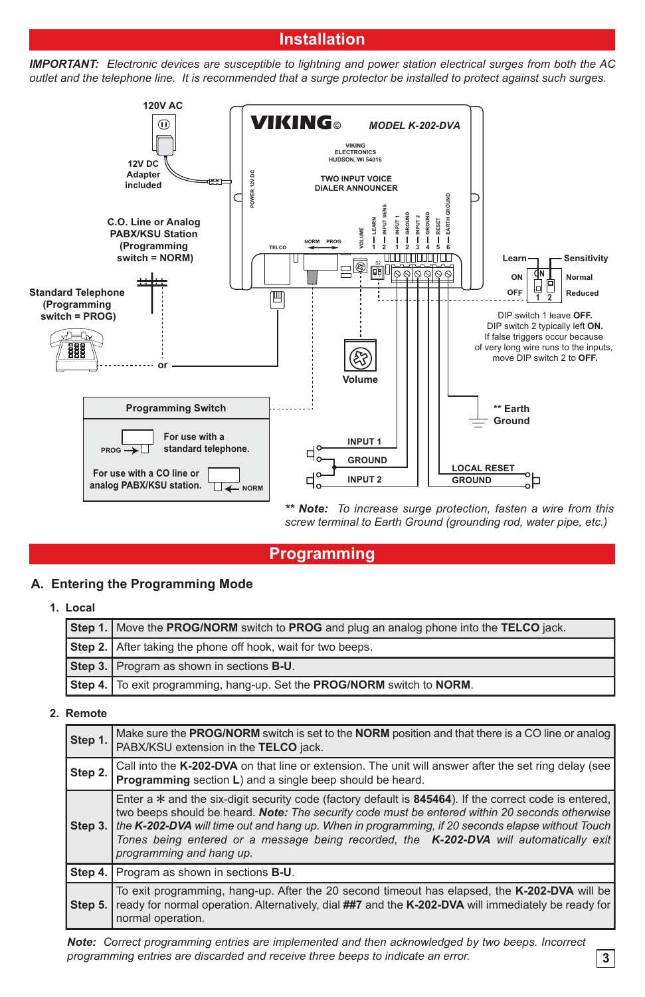# **Installation**

*IMPORTANT: Electronic devices are susceptible to lightning and power station electrical surges from both the AC outlet and the telephone line. It is recommended that a surge protector be installed to protect against such surges.* 



*\*\* Note: To increase surge protection, fasten a wire from this screw terminal to Earth Ground (grounding rod, water pipe, etc.)*

# **Programming**

#### **A. Entering the Programming Mode**

**1. Local**

| Step 1. Move the PROG/NORM switch to PROG and plug an analog phone into the TELCO jack. |  |  |
|-----------------------------------------------------------------------------------------|--|--|
| Step 2. After taking the phone off hook, wait for two beeps.                            |  |  |
| Step 3. Program as shown in sections B-U.                                               |  |  |
| Step 4.   To exit programming, hang-up. Set the PROG/NORM switch to NORM.               |  |  |

#### **2. Remote**

|         | Make sure the <b>PROG/NORM</b> switch is set to the <b>NORM</b> position and that there is a CO line or analog                                                                                                                                                                                                                                                                                                                       |  |  |  |
|---------|--------------------------------------------------------------------------------------------------------------------------------------------------------------------------------------------------------------------------------------------------------------------------------------------------------------------------------------------------------------------------------------------------------------------------------------|--|--|--|
| Step 1. | PABX/KSU extension in the TELCO jack.                                                                                                                                                                                                                                                                                                                                                                                                |  |  |  |
|         |                                                                                                                                                                                                                                                                                                                                                                                                                                      |  |  |  |
| Step 2. | Call into the K-202-DVA on that line or extension. The unit will answer after the set ring delay (see<br><b>Programming</b> section L) and a single beep should be heard.                                                                                                                                                                                                                                                            |  |  |  |
| Step 3. | Enter a $*$ and the six-digit security code (factory default is 845464). If the correct code is entered,<br>two beeps should be heard. Note: The security code must be entered within 20 seconds otherwise<br>the K-202-DVA will time out and hang up. When in programming, if 20 seconds elapse without Touch<br>Tones being entered or a message being recorded, the K-202-DVA will automatically exit<br>programming and hang up. |  |  |  |
| Step 4. | Program as shown in sections <b>B-U</b> .                                                                                                                                                                                                                                                                                                                                                                                            |  |  |  |
| Step 5. | To exit programming, hang-up. After the 20 second timeout has elapsed, the K-202-DVA will be<br>ready for normal operation. Alternatively, dial ##7 and the K-202-DVA will immediately be ready for<br>normal operation.                                                                                                                                                                                                             |  |  |  |

*Note: Correct programming entries are implemented and then acknowledged by two beeps. Incorrect programming entries are discarded and receive three beeps to indicate an error.*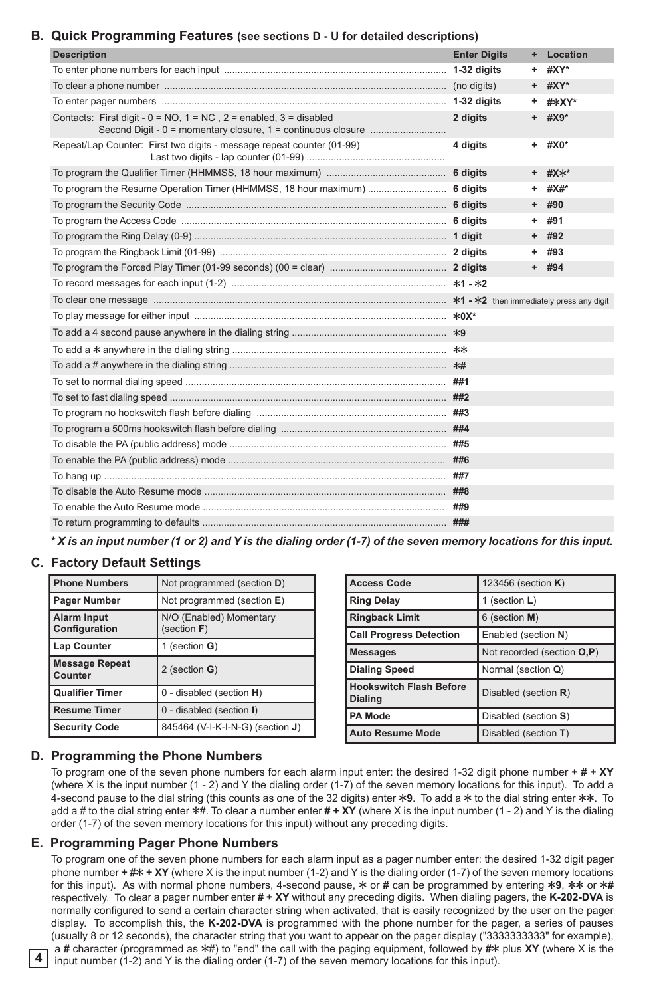#### **B. Quick Programming Features (see sections D - U for detailed descriptions)**

| <b>Description</b>                                                          | <b>Enter Digits</b> |    | + Location |
|-----------------------------------------------------------------------------|---------------------|----|------------|
|                                                                             |                     | ٠. | #XY*       |
|                                                                             |                     |    | + #XY*     |
|                                                                             |                     |    | + #*XY*    |
| Contacts: First digit - $0 = NO$ , $1 = NC$ , $2 =$ enabled, $3 =$ disabled | 2 digits            |    | $+$ #X9*   |
| Repeat/Lap Counter: First two digits - message repeat counter (01-99)       | 4 digits            |    | $+$ #X0*   |
|                                                                             |                     |    | + #X**     |
| To program the Resume Operation Timer (HHMMSS, 18 hour maximum)  6 digits   |                     |    | + #X#*     |
|                                                                             |                     |    | $+$ #90    |
|                                                                             |                     |    | $+ 491$    |
|                                                                             |                     |    | $+$ #92    |
|                                                                             |                     |    | + #93      |
|                                                                             |                     |    | + #94      |
|                                                                             |                     |    |            |
|                                                                             |                     |    |            |
|                                                                             |                     |    |            |
|                                                                             |                     |    |            |
|                                                                             |                     |    |            |
|                                                                             |                     |    |            |
|                                                                             |                     |    |            |
|                                                                             |                     |    |            |
|                                                                             |                     |    |            |
|                                                                             |                     |    |            |
|                                                                             |                     |    |            |
|                                                                             |                     |    |            |
|                                                                             |                     |    |            |
|                                                                             |                     |    |            |
|                                                                             |                     |    |            |
|                                                                             | ###                 |    |            |

*\* X is an input number (1 or 2) and Y is the dialing order (1-7) of the seven memory locations for this input.*

## **C. Factory Default Settings**

| <b>Phone Numbers</b>                | Not programmed (section D)                |
|-------------------------------------|-------------------------------------------|
| Pager Number                        | Not programmed (section E)                |
| <b>Alarm Input</b><br>Configuration | N/O (Enabled) Momentary<br>(section $F$ ) |
| Lap Counter                         | 1 (section $G$ )                          |
| <b>Message Repeat</b><br>Counter    | 2 (section G)                             |
| <b>Qualifier Timer</b>              | 0 - disabled (section H)                  |
| <b>Resume Timer</b>                 | 0 - disabled (section I)                  |
| Security Code                       | 845464 (V-I-K-I-N-G) (section J)          |

| <b>Access Code</b>                               | 123456 (section K)         |
|--------------------------------------------------|----------------------------|
| <b>Ring Delay</b>                                | 1 (section L)              |
| <b>Ringback Limit</b>                            | 6 (section M)              |
| <b>Call Progress Detection</b>                   | Enabled (section N)        |
| <b>Messages</b>                                  | Not recorded (section O,P) |
| <b>Dialing Speed</b>                             | Normal (section Q)         |
| <b>Hookswitch Flash Before</b><br><b>Dialing</b> | Disabled (section R)       |
| <b>PA Mode</b>                                   | Disabled (section S)       |
| <b>Auto Resume Mode</b>                          | Disabled (section T)       |

## **D. Programming the Phone Numbers**

To program one of the seven phone numbers for each alarm input enter: the desired 1-32 digit phone number **+ # + XY** (where X is the input number (1 - 2) and Y the dialing order (1-7) of the seven memory locations for this input). To add a 4-second pause to the dial string (this counts as one of the 32 digits) enter  $\angle 9$ . To add a  $\angle$  to the dial string enter  $\angle \times \angle$ . To add a # to the dial string enter  $*$ #. To clear a number enter  $# + XY$  (where X is the input number (1 - 2) and Y is the dialing order (1-7) of the seven memory locations for this input) without any preceding digits.

#### **E. Programming Pager Phone Numbers**

To program one of the seven phone numbers for each alarm input as a pager number enter: the desired 1-32 digit pager phone number  $+ \#x + XY$  (where X is the input number (1-2) and Y is the dialing order (1-7) of the seven memory locations for this input). As with normal phone numbers, 4-second pause,  $*$  or # can be programmed by entering  $*9$ ,  $**$  or  $**$ respectively. To clear a pager number enter **# + XY** without any preceding digits. When dialing pagers, the **K-202-DVA** is normally configured to send a certain character string when activated, that is easily recognized by the user on the pager display. To accomplish this, the **K-202-DVA** is programmed with the phone number for the pager, a series of pauses (usually 8 or 12 seconds), the character string that you want to appear on the pager display ("3333333333" for example), a # character (programmed as  $*$ #) to "end" the call with the paging equipment, followed by # $*$  plus XY (where X is the input number (1-2) and Y is the dialing order (1-7) of the seven memory locations for this input).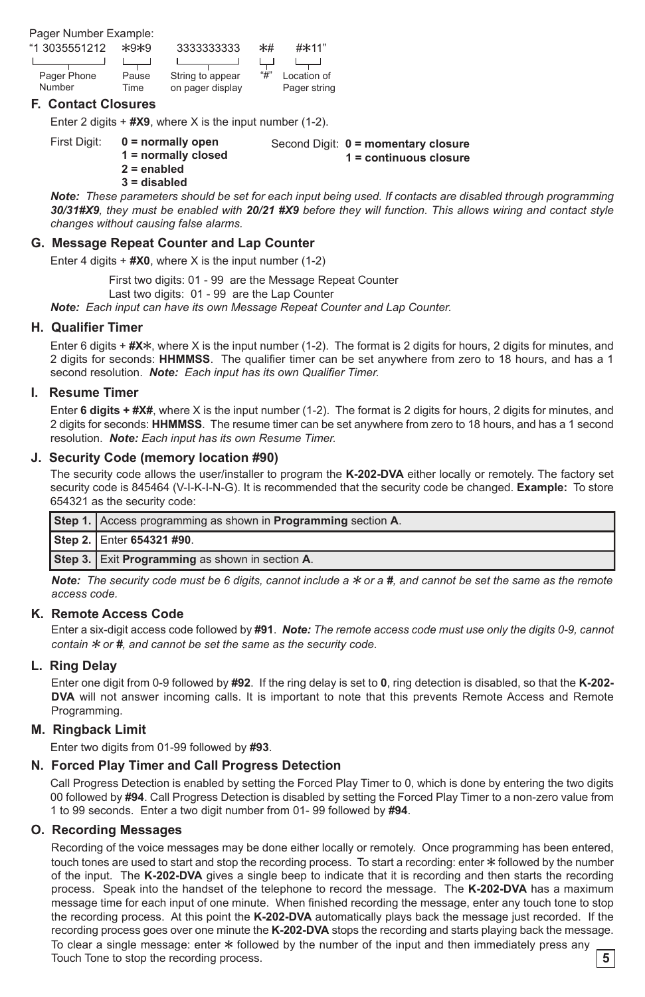Pager Number Example:

| "1 3035551212 | $*9*9$ | 3333333333       | $*$ # | #*11"        |
|---------------|--------|------------------|-------|--------------|
|               |        |                  |       |              |
| Pager Phone   | Pause  | String to appear | "#"   | Location of  |
| Number        | Time   | on pager display |       | Pager string |

#### **F. Contact Closures**

Enter 2 digits + **#X9**, where X is the input number (1-2).

First Digit: **0 = normally open 1 = normally closed 2 = enabled**

Second Digit: **0 = momentary closure 1 = continuous closure**

- 
- **3 = disabled**

*Note: These parameters should be set for each input being used. If contacts are disabled through programming 30/31#X9, they must be enabled with 20/21 #X9 before they will function. This allows wiring and contact style changes without causing false alarms.*

## **G. Message Repeat Counter and Lap Counter**

Enter 4 digits + **#X0**, where X is the input number (1-2)

First two digits: 01 - 99 are the Message Repeat Counter

Last two digits: 01 - 99 are the Lap Counter

*Note: Each input can have its own Message Repeat Counter and Lap Counter.*

#### **H. Qualifier Timer**

Enter 6 digits + #X<sup>\*</sup>, where X is the input number (1-2). The format is 2 digits for hours, 2 digits for minutes, and 2 digits for seconds: **HHMMSS**. The qualifier timer can be set anywhere from zero to 18 hours, and has a 1 second resolution. *Note: Each input has its own Qualifier Timer.*

#### **I. Resume Timer**

Enter **6 digits + #X#**, where X is the input number (1-2). The format is 2 digits for hours, 2 digits for minutes, and 2 digits for seconds: **HHMMSS**. The resume timer can be set anywhere from zero to 18 hours, and has a 1 second resolution. *Note: Each input has its own Resume Timer.*

#### **J. Security Code (memory location #90)**

The security code allows the user/installer to program the **K-202-DVA** either locally or remotely. The factory set security code is 845464 (V-I-K-I-N-G). It is recommended that the security code be changed. **Example:** To store 654321 as the security code:

| Step 1. Access programming as shown in Programming section A. |
|---------------------------------------------------------------|
| Step 2. Enter 654321 #90.                                     |
| Step 3. Exit Programming as shown in section A.               |

*Note:* The security code must be 6 digits, cannot include a  $*$  or a #, and cannot be set the same as the remote *access code.*

#### **K. Remote Access Code**

Enter a six-digit access code followed by **#91**. *Note: The remote access code must use only the digits 0-9, cannot contain*  $*$  *or*  $#$ *, and cannot be set the same as the security code.* 

## **L. Ring Delay**

Enter one digit from 0-9 followed by **#92**. If the ring delay is set to **0**, ring detection is disabled, so that the **K-202- DVA** will not answer incoming calls. It is important to note that this prevents Remote Access and Remote Programming.

#### **M. Ringback Limit**

Enter two digits from 01-99 followed by **#93**.

#### **N. Forced Play Timer and Call Progress Detection**

Call Progress Detection is enabled by setting the Forced Play Timer to 0, which is done by entering the two digits 00 followed by **#94**. Call Progress Detection is disabled by setting the Forced Play Timer to a non-zero value from 1 to 99 seconds. Enter a two digit number from 01- 99 followed by **#94**.

#### **O. Recording Messages**

Recording of the voice messages may be done either locally or remotely. Once programming has been entered, touch tones are used to start and stop the recording process. To start a recording: enter  $*$  followed by the number of the input. The **K-202-DVA** gives a single beep to indicate that it is recording and then starts the recording process. Speak into the handset of the telephone to record the message. The **K-202-DVA** has a maximum message time for each input of one minute. When finished recording the message, enter any touch tone to stop the recording process. At this point the **K-202-DVA** automatically plays back the message just recorded. If the recording process goes over one minute the **K-202-DVA** stops the recording and starts playing back the message. To clear a single message: enter  $*$  followed by the number of the input and then immediately press any Touch Tone to stop the recording process. **5**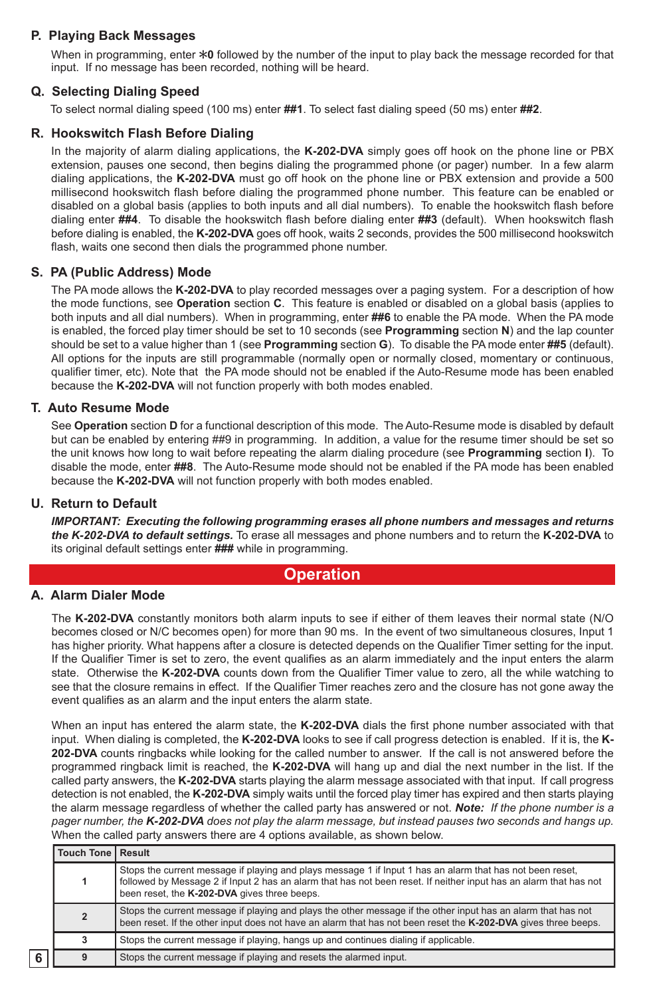## **P. Playing Back Messages**

When in programming, enter  $*0$  followed by the number of the input to play back the message recorded for that input. If no message has been recorded, nothing will be heard.

## **Q. Selecting Dialing Speed**

To select normal dialing speed (100 ms) enter **##1**. To select fast dialing speed (50 ms) enter **##2**.

#### **R. Hookswitch Flash Before Dialing**

In the majority of alarm dialing applications, the **K-202-DVA** simply goes off hook on the phone line or PBX extension, pauses one second, then begins dialing the programmed phone (or pager) number. In a few alarm dialing applications, the **K-202-DVA** must go off hook on the phone line or PBX extension and provide a 500 millisecond hookswitch flash before dialing the programmed phone number. This feature can be enabled or disabled on a global basis (applies to both inputs and all dial numbers). To enable the hookswitch flash before dialing enter **##4**. To disable the hookswitch flash before dialing enter **##3** (default). When hookswitch flash before dialing is enabled, the **K-202-DVA** goes off hook, waits 2 seconds, provides the 500 millisecond hookswitch flash, waits one second then dials the programmed phone number.

#### **S. PA (Public Address) Mode**

The PA mode allows the **K-202-DVA** to play recorded messages over a paging system. For a description of how the mode functions, see **Operation** section **C**. This feature is enabled or disabled on a global basis (applies to both inputs and all dial numbers). When in programming, enter **##6** to enable the PA mode. When the PA mode is enabled, the forced play timer should be set to 10 seconds (see **Programming** section **N**) and the lap counter should be set to a value higher than 1 (see **Programming** section **G**). To disable the PA mode enter **##5** (default). All options for the inputs are still programmable (normally open or normally closed, momentary or continuous, qualifier timer, etc). Note that the PA mode should not be enabled if the Auto-Resume mode has been enabled because the **K-202-DVA** will not function properly with both modes enabled.

### **T. Auto Resume Mode**

See **Operation** section **D** for a functional description of this mode. The Auto-Resume mode is disabled by default but can be enabled by entering ##9 in programming. In addition, a value for the resume timer should be set so the unit knows how long to wait before repeating the alarm dialing procedure (see **Programming** section **I**). To disable the mode, enter **##8**. The Auto-Resume mode should not be enabled if the PA mode has been enabled because the **K-202-DVA** will not function properly with both modes enabled.

#### **U. Return to Default**

*IMPORTANT: Executing the following programming erases all phone numbers and messages and returns the K-202-DVA to default settings.* To erase all messages and phone numbers and to return the **K-202-DVA** to its original default settings enter **###** while in programming.

## **Operation**

### **A. Alarm Dialer Mode**

The **K-202-DVA** constantly monitors both alarm inputs to see if either of them leaves their normal state (N/O becomes closed or N/C becomes open) for more than 90 ms. In the event of two simultaneous closures, Input 1 has higher priority. What happens after a closure is detected depends on the Qualifier Timer setting for the input. If the Qualifier Timer is set to zero, the event qualifies as an alarm immediately and the input enters the alarm state. Otherwise the **K-202-DVA** counts down from the Qualifier Timer value to zero, all the while watching to see that the closure remains in effect. If the Qualifier Timer reaches zero and the closure has not gone away the event qualifies as an alarm and the input enters the alarm state.

When an input has entered the alarm state, the **K-202-DVA** dials the first phone number associated with that input. When dialing is completed, the **K-202-DVA** looks to see if call progress detection is enabled. If it is, the **K-202-DVA** counts ringbacks while looking for the called number to answer. If the call is not answered before the programmed ringback limit is reached, the **K-202-DVA** will hang up and dial the next number in the list. If the called party answers, the **K-202-DVA** starts playing the alarm message associated with that input. If call progress detection is not enabled, the **K-202-DVA** simply waits until the forced play timer has expired and then starts playing the alarm message regardless of whether the called party has answered or not. *Note: If the phone number is a pager number, the K-202-DVA does not play the alarm message, but instead pauses two seconds and hangs up.* When the called party answers there are 4 options available, as shown below.

|   | <b>Touch Tone   Result</b> |                                                                                                                                                                                                                                                                                |
|---|----------------------------|--------------------------------------------------------------------------------------------------------------------------------------------------------------------------------------------------------------------------------------------------------------------------------|
|   |                            | Stops the current message if playing and plays message 1 if lnput 1 has an alarm that has not been reset,<br>followed by Message 2 if Input 2 has an alarm that has not been reset. If neither input has an alarm that has not<br>been reset, the K-202-DVA gives three beeps. |
|   | $\overline{2}$             | Stops the current message if playing and plays the other message if the other input has an alarm that has not<br>been reset. If the other input does not have an alarm that has not been reset the K-202-DVA gives three beeps.                                                |
|   | 3                          | Stops the current message if playing, hangs up and continues dialing if applicable.                                                                                                                                                                                            |
| 6 | q                          | Stops the current message if playing and resets the alarmed input.                                                                                                                                                                                                             |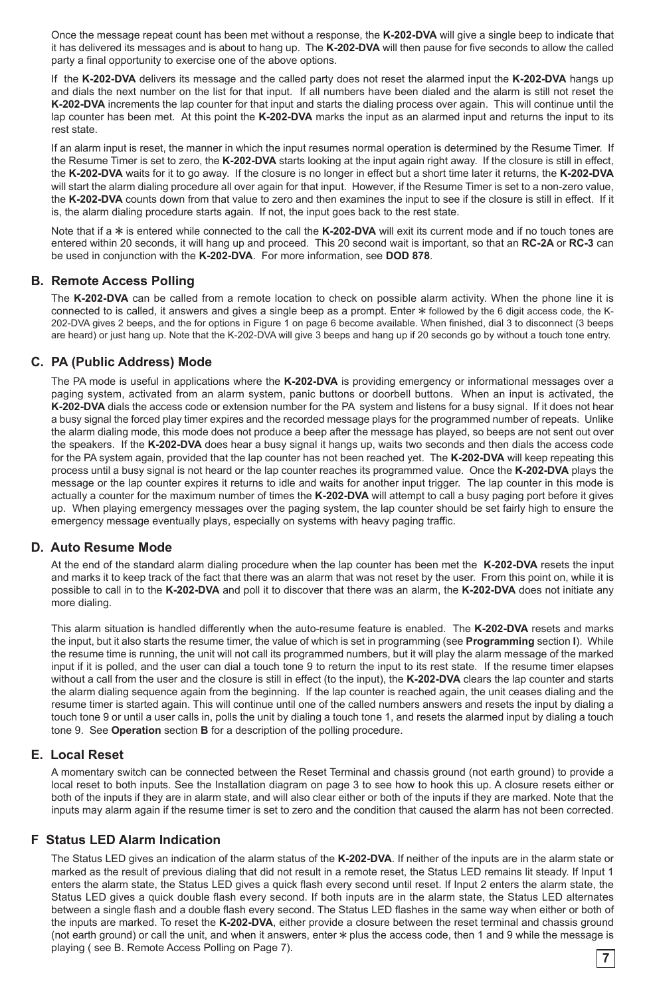Once the message repeat count has been met without a response, the **K-202-DVA** will give a single beep to indicate that it has delivered its messages and is about to hang up. The **K-202-DVA** will then pause for five seconds to allow the called party a final opportunity to exercise one of the above options.

If the **K-202-DVA** delivers its message and the called party does not reset the alarmed input the **K-202-DVA** hangs up and dials the next number on the list for that input. If all numbers have been dialed and the alarm is still not reset the **K-202-DVA** increments the lap counter for that input and starts the dialing process over again. This will continue until the lap counter has been met. At this point the **K-202-DVA** marks the input as an alarmed input and returns the input to its rest state.

If an alarm input is reset, the manner in which the input resumes normal operation is determined by the Resume Timer. If the Resume Timer is set to zero, the **K-202-DVA** starts looking at the input again right away. If the closure is still in effect, the **K-202-DVA** waits for it to go away. If the closure is no longer in effect but a short time later it returns, the **K-202-DVA** will start the alarm dialing procedure all over again for that input. However, if the Resume Timer is set to a non-zero value, the **K-202-DVA** counts down from that value to zero and then examines the input to see if the closure is still in effect. If it is, the alarm dialing procedure starts again. If not, the input goes back to the rest state.

Note that if a  $*$  is entered while connected to the call the **K-202-DVA** will exit its current mode and if no touch tones are entered within 20 seconds, it will hang up and proceed. This 20 second wait is important, so that an **RC-2A** or **RC-3** can be used in conjunction with the **K-202-DVA**. For more information, see **DOD 878**.

### **B. Remote Access Polling**

The **K-202-DVA** can be called from a remote location to check on possible alarm activity. When the phone line it is connected to is called, it answers and gives a single beep as a prompt. Enter  $*$  followed by the 6 digit access code, the K-202-DVA gives 2 beeps, and the for options in Figure 1 on page 6 become available. When finished, dial 3 to disconnect (3 beeps are heard) or just hang up. Note that the K-202-DVA will give 3 beeps and hang up if 20 seconds go by without a touch tone entry.

## **C. PA (Public Address) Mode**

The PA mode is useful in applications where the **K-202-DVA** is providing emergency or informational messages over a paging system, activated from an alarm system, panic buttons or doorbell buttons. When an input is activated, the **K-202-DVA** dials the access code or extension number for the PA system and listens for a busy signal. If it does not hear a busy signal the forced play timer expires and the recorded message plays for the programmed number of repeats. Unlike the alarm dialing mode, this mode does not produce a beep after the message has played, so beeps are not sent out over the speakers. If the **K-202-DVA** does hear a busy signal it hangs up, waits two seconds and then dials the access code for the PA system again, provided that the lap counter has not been reached yet. The **K-202-DVA** will keep repeating this process until a busy signal is not heard or the lap counter reaches its programmed value. Once the **K-202-DVA** plays the message or the lap counter expires it returns to idle and waits for another input trigger. The lap counter in this mode is actually a counter for the maximum number of times the **K-202-DVA** will attempt to call a busy paging port before it gives up. When playing emergency messages over the paging system, the lap counter should be set fairly high to ensure the emergency message eventually plays, especially on systems with heavy paging traffic.

#### **D. Auto Resume Mode**

At the end of the standard alarm dialing procedure when the lap counter has been met the **K-202-DVA** resets the input and marks it to keep track of the fact that there was an alarm that was not reset by the user. From this point on, while it is possible to call in to the **K-202-DVA** and poll it to discover that there was an alarm, the **K-202-DVA** does not initiate any more dialing.

This alarm situation is handled differently when the auto-resume feature is enabled. The **K-202-DVA** resets and marks the input, but it also starts the resume timer, the value of which is set in programming (see **Programming** section **I**). While the resume time is running, the unit will not call its programmed numbers, but it will play the alarm message of the marked input if it is polled, and the user can dial a touch tone 9 to return the input to its rest state. If the resume timer elapses without a call from the user and the closure is still in effect (to the input), the **K-202-DVA** clears the lap counter and starts the alarm dialing sequence again from the beginning. If the lap counter is reached again, the unit ceases dialing and the resume timer is started again. This will continue until one of the called numbers answers and resets the input by dialing a touch tone 9 or until a user calls in, polls the unit by dialing a touch tone 1, and resets the alarmed input by dialing a touch tone 9. See **Operation** section **B** for a description of the polling procedure.

#### **E. Local Reset**

A momentary switch can be connected between the Reset Terminal and chassis ground (not earth ground) to provide a local reset to both inputs. See the Installation diagram on page 3 to see how to hook this up. A closure resets either or both of the inputs if they are in alarm state, and will also clear either or both of the inputs if they are marked. Note that the inputs may alarm again if the resume timer is set to zero and the condition that caused the alarm has not been corrected.

#### **F Status LED Alarm Indication**

The Status LED gives an indication of the alarm status of the **K-202-DVA**. If neither of the inputs are in the alarm state or marked as the result of previous dialing that did not result in a remote reset, the Status LED remains lit steady. If Input 1 enters the alarm state, the Status LED gives a quick flash every second until reset. If Input 2 enters the alarm state, the Status LED gives a quick double flash every second. If both inputs are in the alarm state, the Status LED alternates between a single flash and a double flash every second. The Status LED flashes in the same way when either or both of the inputs are marked. To reset the **K-202-DVA**, either provide a closure between the reset terminal and chassis ground (not earth ground) or call the unit, and when it answers, enter  $*$  plus the access code, then 1 and 9 while the message is playing ( see B. Remote Access Polling on Page 7).